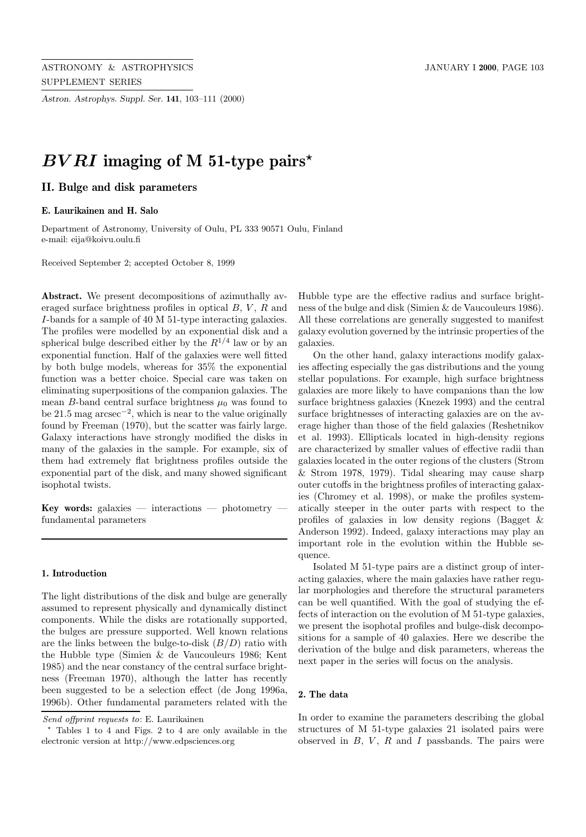*Astron. Astrophys. Suppl. Ser.* **141**, 103–111 (2000)

# *BV RI* **imaging of M 51-type pairs***?*

# **II. Bulge and disk parameters**

### **E. Laurikainen and H. Salo**

Department of Astronomy, University of Oulu, PL 333 90571 Oulu, Finland e-mail: eija@koivu.oulu.fi

Received September 2; accepted October 8, 1999

**Abstract.** We present decompositions of azimuthally averaged surface brightness profiles in optical  $B, V, R$  and I-bands for a sample of 40 M 51-type interacting galaxies. The profiles were modelled by an exponential disk and a spherical bulge described either by the  $R^{1/4}$  law or by an exponential function. Half of the galaxies were well fitted by both bulge models, whereas for 35% the exponential function was a better choice. Special care was taken on eliminating superpositions of the companion galaxies. The mean B-band central surface brightness  $\mu_0$  was found to be 21.5 mag  $\arccos\left(-2\right)$ , which is near to the value originally found by Freeman (1970), but the scatter was fairly large. Galaxy interactions have strongly modified the disks in many of the galaxies in the sample. For example, six of them had extremely flat brightness profiles outside the exponential part of the disk, and many showed significant isophotal twists.

**Key words:** galaxies — interactions — photometry fundamental parameters

#### **1. Introduction**

The light distributions of the disk and bulge are generally assumed to represent physically and dynamically distinct components. While the disks are rotationally supported, the bulges are pressure supported. Well known relations are the links between the bulge-to-disk  $(B/D)$  ratio with the Hubble type (Simien & de Vaucouleurs 1986; Kent 1985) and the near constancy of the central surface brightness (Freeman 1970), although the latter has recently been suggested to be a selection effect (de Jong 1996a, 1996b). Other fundamental parameters related with the

Send offprint requests to: E. Laurikainen

Hubble type are the effective radius and surface brightness of the bulge and disk (Simien & de Vaucouleurs 1986). All these correlations are generally suggested to manifest galaxy evolution governed by the intrinsic properties of the galaxies.

On the other hand, galaxy interactions modify galaxies affecting especially the gas distributions and the young stellar populations. For example, high surface brightness galaxies are more likely to have companions than the low surface brightness galaxies (Knezek 1993) and the central surface brightnesses of interacting galaxies are on the average higher than those of the field galaxies (Reshetnikov et al. 1993). Ellipticals located in high-density regions are characterized by smaller values of effective radii than galaxies located in the outer regions of the clusters (Strom & Strom 1978, 1979). Tidal shearing may cause sharp outer cutoffs in the brightness profiles of interacting galaxies (Chromey et al. 1998), or make the profiles systematically steeper in the outer parts with respect to the profiles of galaxies in low density regions (Bagget & Anderson 1992). Indeed, galaxy interactions may play an important role in the evolution within the Hubble sequence.

Isolated M 51-type pairs are a distinct group of interacting galaxies, where the main galaxies have rather regular morphologies and therefore the structural parameters can be well quantified. With the goal of studying the effects of interaction on the evolution of M 51-type galaxies, we present the isophotal profiles and bulge-disk decompositions for a sample of 40 galaxies. Here we describe the derivation of the bulge and disk parameters, whereas the next paper in the series will focus on the analysis.

#### **2. The data**

In order to examine the parameters describing the global structures of M 51-type galaxies 21 isolated pairs were observed in  $B, V, R$  and  $I$  passbands. The pairs were

<sup>?</sup> Tables 1 to 4 and Figs. 2 to 4 are only available in the electronic version at http://www.edpsciences.org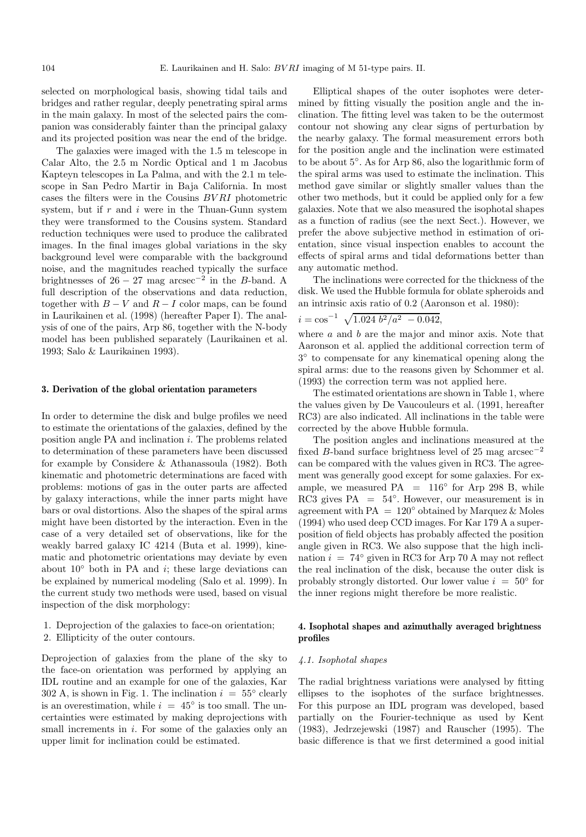selected on morphological basis, showing tidal tails and bridges and rather regular, deeply penetrating spiral arms in the main galaxy. In most of the selected pairs the companion was considerably fainter than the principal galaxy and its projected position was near the end of the bridge.

The galaxies were imaged with the 1.5 m telescope in Calar Alto, the 2.5 m Nordic Optical and 1 m Jacobus Kapteyn telescopes in La Palma, and with the 2.1 m telescope in San Pedro Martir in Baja California. In most cases the filters were in the Cousins BV RI photometric system, but if  $r$  and  $i$  were in the Thuan-Gunn system they were transformed to the Cousins system. Standard reduction techniques were used to produce the calibrated images. In the final images global variations in the sky background level were comparable with the background noise, and the magnitudes reached typically the surface brightnesses of  $26 - 27$  mag arcsec<sup>-2</sup> in the B-band. A full description of the observations and data reduction, together with  $B - V$  and  $R - I$  color maps, can be found in Laurikainen et al. (1998) (hereafter Paper I). The analysis of one of the pairs, Arp 86, together with the N-body model has been published separately (Laurikainen et al. 1993; Salo & Laurikainen 1993).

#### **3. Derivation of the global orientation parameters**

In order to determine the disk and bulge profiles we need to estimate the orientations of the galaxies, defined by the position angle PA and inclination i. The problems related to determination of these parameters have been discussed for example by Considere & Athanassoula (1982). Both kinematic and photometric determinations are faced with problems: motions of gas in the outer parts are affected by galaxy interactions, while the inner parts might have bars or oval distortions. Also the shapes of the spiral arms might have been distorted by the interaction. Even in the case of a very detailed set of observations, like for the weakly barred galaxy IC 4214 (Buta et al. 1999), kinematic and photometric orientations may deviate by even about  $10°$  both in PA and *i*; these large deviations can be explained by numerical modeling (Salo et al. 1999). In the current study two methods were used, based on visual inspection of the disk morphology:

- 1. Deprojection of the galaxies to face-on orientation;
- 2. Ellipticity of the outer contours.

Deprojection of galaxies from the plane of the sky to the face-on orientation was performed by applying an IDL routine and an example for one of the galaxies, Kar 302 A, is shown in Fig. 1. The inclination  $i = 55^{\circ}$  clearly is an overestimation, while  $i = 45^{\circ}$  is too small. The uncertainties were estimated by making deprojections with small increments in  $i$ . For some of the galaxies only an upper limit for inclination could be estimated.

Elliptical shapes of the outer isophotes were determined by fitting visually the position angle and the inclination. The fitting level was taken to be the outermost contour not showing any clear signs of perturbation by the nearby galaxy. The formal measurement errors both for the position angle and the inclination were estimated to be about 5◦. As for Arp 86, also the logarithmic form of the spiral arms was used to estimate the inclination. This method gave similar or slightly smaller values than the other two methods, but it could be applied only for a few galaxies. Note that we also measured the isophotal shapes as a function of radius (see the next Sect.). However, we prefer the above subjective method in estimation of orientation, since visual inspection enables to account the effects of spiral arms and tidal deformations better than any automatic method.

The inclinations were corrected for the thickness of the disk. We used the Hubble formula for oblate spheroids and an intrinsic axis ratio of 0.2 (Aaronson et al. 1980):

$$
i = \cos^{-1} \sqrt{1.024 b^2/a^2 - 0.042},
$$

where  $a$  and  $b$  are the major and minor axis. Note that Aaronson et al. applied the additional correction term of 3◦ to compensate for any kinematical opening along the spiral arms: due to the reasons given by Schommer et al. (1993) the correction term was not applied here.

The estimated orientations are shown in Table 1, where the values given by De Vaucouleurs et al. (1991, hereafter RC3) are also indicated. All inclinations in the table were corrected by the above Hubble formula.

The position angles and inclinations measured at the fixed B-band surface brightness level of 25 mag  $\arccos^2$ can be compared with the values given in RC3. The agreement was generally good except for some galaxies. For example, we measured  $PA = 116°$  for Arp 298 B, while RC3 gives  $PA = 54^\circ$ . However, our measurement is in agreement with PA =  $120^{\circ}$  obtained by Marquez & Moles (1994) who used deep CCD images. For Kar 179 A a superposition of field objects has probably affected the position angle given in RC3. We also suppose that the high inclination  $i = 74°$  given in RC3 for Arp 70 A may not reflect the real inclination of the disk, because the outer disk is probably strongly distorted. Our lower value  $i = 50°$  for the inner regions might therefore be more realistic.

# **4. Isophotal shapes and azimuthally averaged brightness profiles**

#### 4.1. Isophotal shapes

The radial brightness variations were analysed by fitting ellipses to the isophotes of the surface brightnesses. For this purpose an IDL program was developed, based partially on the Fourier-technique as used by Kent (1983), Jedrzejewski (1987) and Rauscher (1995). The basic difference is that we first determined a good initial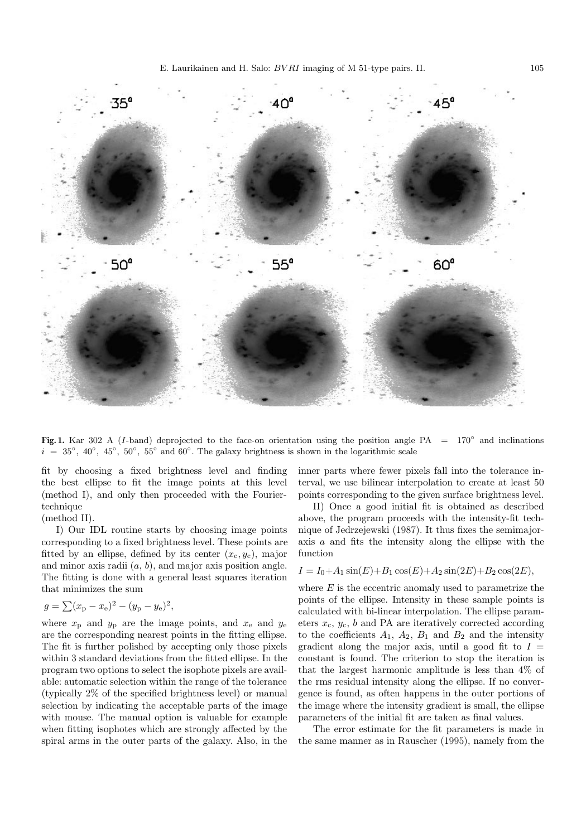

**Fig. 1.** Kar 302 A (I-band) deprojected to the face-on orientation using the position angle PA = 170◦ and inclinations  $i = 35°, 40°, 45°, 50°, 55°$  and 60°. The galaxy brightness is shown in the logarithmic scale

fit by choosing a fixed brightness level and finding the best ellipse to fit the image points at this level (method I), and only then proceeded with the Fouriertechnique

(method II).

I) Our IDL routine starts by choosing image points corresponding to a fixed brightness level. These points are fitted by an ellipse, defined by its center  $(x_c, y_c)$ , major and minor axis radii  $(a, b)$ , and major axis position angle. The fitting is done with a general least squares iteration that minimizes the sum

$$
g = \sum (x_{\rm p} - x_{\rm e})^2 - (y_{\rm p} - y_{\rm e})^2,
$$

where  $x_p$  and  $y_p$  are the image points, and  $x_e$  and  $y_e$ are the corresponding nearest points in the fitting ellipse. The fit is further polished by accepting only those pixels within 3 standard deviations from the fitted ellipse. In the program two options to select the isophote pixels are available: automatic selection within the range of the tolerance (typically 2% of the specified brightness level) or manual selection by indicating the acceptable parts of the image with mouse. The manual option is valuable for example when fitting isophotes which are strongly affected by the spiral arms in the outer parts of the galaxy. Also, in the inner parts where fewer pixels fall into the tolerance interval, we use bilinear interpolation to create at least 50 points corresponding to the given surface brightness level.

II) Once a good initial fit is obtained as described above, the program proceeds with the intensity-fit technique of Jedrzejewski (1987). It thus fixes the semimajoraxis a and fits the intensity along the ellipse with the function

$$
I = I_0 + A_1 \sin(E) + B_1 \cos(E) + A_2 \sin(2E) + B_2 \cos(2E),
$$

where  $E$  is the eccentric anomaly used to parametrize the points of the ellipse. Intensity in these sample points is calculated with bi-linear interpolation. The ellipse parameters  $x_c$ ,  $y_c$ ,  $b$  and PA are iteratively corrected according to the coefficients  $A_1$ ,  $A_2$ ,  $B_1$  and  $B_2$  and the intensity gradient along the major axis, until a good fit to  $I =$ constant is found. The criterion to stop the iteration is that the largest harmonic amplitude is less than 4% of the rms residual intensity along the ellipse. If no convergence is found, as often happens in the outer portions of the image where the intensity gradient is small, the ellipse parameters of the initial fit are taken as final values.

The error estimate for the fit parameters is made in the same manner as in Rauscher (1995), namely from the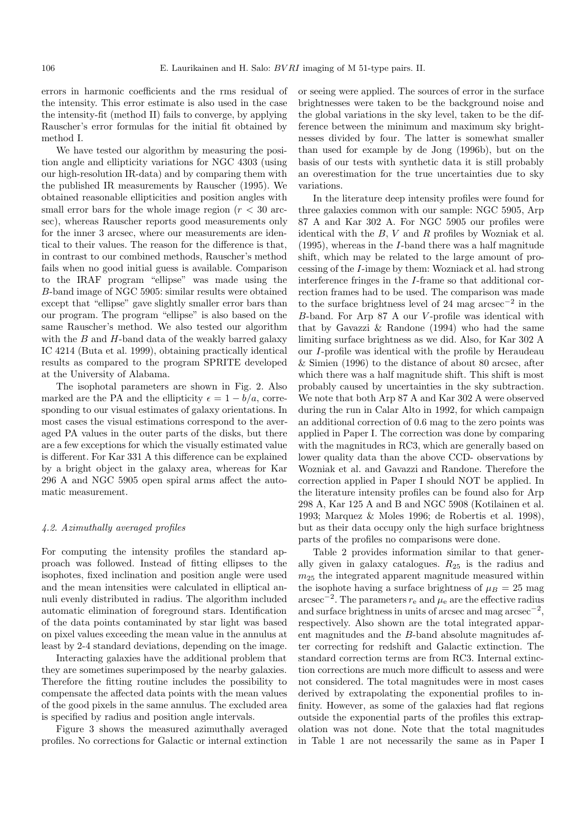errors in harmonic coefficients and the rms residual of the intensity. This error estimate is also used in the case the intensity-fit (method II) fails to converge, by applying Rauscher's error formulas for the initial fit obtained by method I.

We have tested our algorithm by measuring the position angle and ellipticity variations for NGC 4303 (using our high-resolution IR-data) and by comparing them with the published IR measurements by Rauscher (1995). We obtained reasonable ellipticities and position angles with small error bars for the whole image region  $(r < 30$  arcsec), whereas Rauscher reports good measurements only for the inner 3 arcsec, where our measurements are identical to their values. The reason for the difference is that, in contrast to our combined methods, Rauscher's method fails when no good initial guess is available. Comparison to the IRAF program "ellipse" was made using the B-band image of NGC 5905: similar results were obtained except that "ellipse" gave slightly smaller error bars than our program. The program "ellipse" is also based on the same Rauscher's method. We also tested our algorithm with the  $B$  and  $H$ -band data of the weakly barred galaxy IC 4214 (Buta et al. 1999), obtaining practically identical results as compared to the program SPRITE developed at the University of Alabama.

The isophotal parameters are shown in Fig. 2. Also marked are the PA and the ellipticity  $\epsilon = 1 - b/a$ , corresponding to our visual estimates of galaxy orientations. In most cases the visual estimations correspond to the averaged PA values in the outer parts of the disks, but there are a few exceptions for which the visually estimated value is different. For Kar 331 A this difference can be explained by a bright object in the galaxy area, whereas for Kar 296 A and NGC 5905 open spiral arms affect the automatic measurement.

# 4.2. Azimuthally averaged profiles

For computing the intensity profiles the standard approach was followed. Instead of fitting ellipses to the isophotes, fixed inclination and position angle were used and the mean intensities were calculated in elliptical annuli evenly distributed in radius. The algorithm included automatic elimination of foreground stars. Identification of the data points contaminated by star light was based on pixel values exceeding the mean value in the annulus at least by 2-4 standard deviations, depending on the image.

Interacting galaxies have the additional problem that they are sometimes superimposed by the nearby galaxies. Therefore the fitting routine includes the possibility to compensate the affected data points with the mean values of the good pixels in the same annulus. The excluded area is specified by radius and position angle intervals.

Figure 3 shows the measured azimuthally averaged profiles. No corrections for Galactic or internal extinction

or seeing were applied. The sources of error in the surface brightnesses were taken to be the background noise and the global variations in the sky level, taken to be the difference between the minimum and maximum sky brightnesses divided by four. The latter is somewhat smaller than used for example by de Jong (1996b), but on the basis of our tests with synthetic data it is still probably an overestimation for the true uncertainties due to sky variations.

In the literature deep intensity profiles were found for three galaxies common with our sample: NGC 5905, Arp 87 A and Kar 302 A. For NGC 5905 our profiles were identical with the  $B, V$  and  $R$  profiles by Wozniak et al. (1995), whereas in the I-band there was a half magnitude shift, which may be related to the large amount of processing of the I-image by them: Wozniack et al. had strong interference fringes in the I-frame so that additional correction frames had to be used. The comparison was made to the surface brightness level of 24 mag arcsec<sup>-2</sup> in the B-band. For Arp 87 A our V -profile was identical with that by Gavazzi & Randone (1994) who had the same limiting surface brightness as we did. Also, for Kar 302 A our I-profile was identical with the profile by Heraudeau & Simien (1996) to the distance of about 80 arcsec, after which there was a half magnitude shift. This shift is most probably caused by uncertainties in the sky subtraction. We note that both Arp 87 A and Kar 302 A were observed during the run in Calar Alto in 1992, for which campaign an additional correction of 0.6 mag to the zero points was applied in Paper I. The correction was done by comparing with the magnitudes in RC3, which are generally based on lower quality data than the above CCD- observations by Wozniak et al. and Gavazzi and Randone. Therefore the correction applied in Paper I should NOT be applied. In the literature intensity profiles can be found also for Arp 298 A, Kar 125 A and B and NGC 5908 (Kotilainen et al. 1993; Marquez & Moles 1996; de Robertis et al. 1998), but as their data occupy only the high surface brightness parts of the profiles no comparisons were done.

Table 2 provides information similar to that generally given in galaxy catalogues.  $R_{25}$  is the radius and  $m_{25}$  the integrated apparent magnitude measured within the isophote having a surface brightness of  $\mu_B = 25$  mag arcsec<sup>-2</sup>. The parameters  $r_e$  and  $\mu_e$  are the effective radius and surface brightness in units of arcsec and mag  $\arccos^{-2}$ , respectively. Also shown are the total integrated apparent magnitudes and the B-band absolute magnitudes after correcting for redshift and Galactic extinction. The standard correction terms are from RC3. Internal extinction corrections are much more difficult to assess and were not considered. The total magnitudes were in most cases derived by extrapolating the exponential profiles to infinity. However, as some of the galaxies had flat regions outside the exponential parts of the profiles this extrapolation was not done. Note that the total magnitudes in Table 1 are not necessarily the same as in Paper I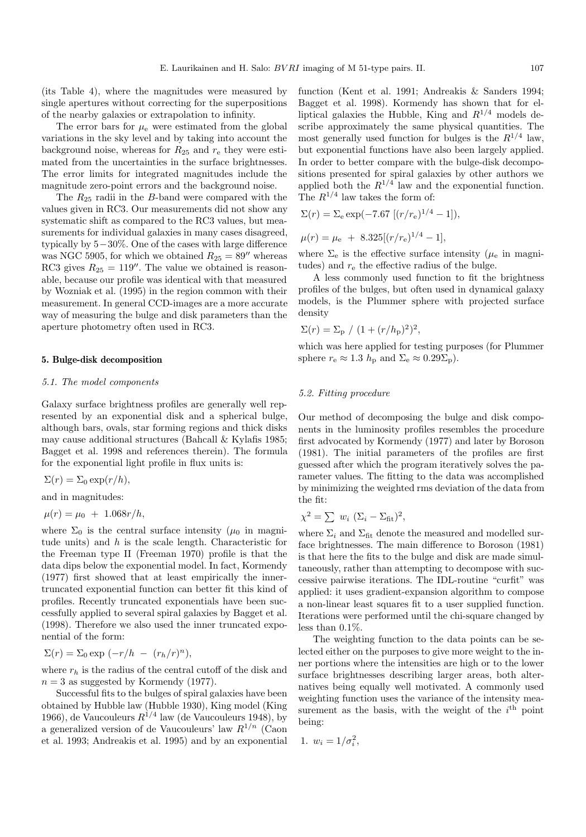(its Table 4), where the magnitudes were measured by single apertures without correcting for the superpositions of the nearby galaxies or extrapolation to infinity.

The error bars for  $\mu_{\rm e}$  were estimated from the global variations in the sky level and by taking into account the background noise, whereas for  $R_{25}$  and  $r_{e}$  they were estimated from the uncertainties in the surface brightnesses. The error limits for integrated magnitudes include the magnitude zero-point errors and the background noise.

The  $R_{25}$  radii in the B-band were compared with the values given in RC3. Our measurements did not show any systematic shift as compared to the RC3 values, but measurements for individual galaxies in many cases disagreed, typically by 5−30%. One of the cases with large difference was NGC 5905, for which we obtained  $R_{25} = 89''$  whereas RC3 gives  $R_{25} = 119''$ . The value we obtained is reasonable, because our profile was identical with that measured by Wozniak et al. (1995) in the region common with their measurement. In general CCD-images are a more accurate way of measuring the bulge and disk parameters than the aperture photometry often used in RC3.

## **5. Bulge-disk decomposition**

#### 5.1. The model components

Galaxy surface brightness profiles are generally well represented by an exponential disk and a spherical bulge, although bars, ovals, star forming regions and thick disks may cause additional structures (Bahcall & Kylafis 1985; Bagget et al. 1998 and references therein). The formula for the exponential light profile in flux units is:

 $\Sigma(r)=\Sigma_0 \exp(r/h),$ 

and in magnitudes:

$$
\mu(r) = \mu_0 + 1.068r/h,
$$

where  $\Sigma_0$  is the central surface intensity ( $\mu_0$  in magnitude units) and  $h$  is the scale length. Characteristic for the Freeman type II (Freeman 1970) profile is that the data dips below the exponential model. In fact, Kormendy (1977) first showed that at least empirically the innertruncated exponential function can better fit this kind of profiles. Recently truncated exponentials have been successfully applied to several spiral galaxies by Bagget et al. (1998). Therefore we also used the inner truncated exponential of the form:

$$
\Sigma(r) = \Sigma_0 \exp(-r/h - (r_h/r)^n),
$$

where  $r_h$  is the radius of the central cutoff of the disk and  $n = 3$  as suggested by Kormendy (1977).

Successful fits to the bulges of spiral galaxies have been obtained by Hubble law (Hubble 1930), King model (King 1966), de Vaucouleurs  $R^{1/4}$  law (de Vaucouleurs 1948), by a generalized version of de Vaucouleurs' law  $R^{1/n}$  (Caon et al. 1993; Andreakis et al. 1995) and by an exponential

function (Kent et al. 1991; Andreakis & Sanders 1994; Bagget et al. 1998). Kormendy has shown that for elliptical galaxies the Hubble, King and  $R^{1/4}$  models describe approximately the same physical quantities. The most generally used function for bulges is the  $R^{1/4}$  law, but exponential functions have also been largely applied. In order to better compare with the bulge-disk decompositions presented for spiral galaxies by other authors we applied both the  $R^{1/4}$  law and the exponential function. The  $R^{1/4}$  law takes the form of:

$$
\Sigma(r) = \Sigma_{\rm e} \exp(-7.67 \left[ (r/r_{\rm e})^{1/4} - 1 \right]),
$$

$$
\mu(r) = \mu_{\rm e} + 8.325[(r/r_{\rm e})^{1/4} - 1],
$$

where  $\Sigma_e$  is the effective surface intensity ( $\mu_e$  in magnitudes) and  $r_{e}$  the effective radius of the bulge.

A less commonly used function to fit the brightness profiles of the bulges, but often used in dynamical galaxy models, is the Plummer sphere with projected surface density

$$
\Sigma(r) = \Sigma_{\rm p} / (1 + (r/h_{\rm p})^2)^2
$$
,

which was here applied for testing purposes (for Plummer sphere  $r_e \approx 1.3 h_p$  and  $\Sigma_e \approx 0.29 \Sigma_p$ ).

#### 5.2. Fitting procedure

Our method of decomposing the bulge and disk components in the luminosity profiles resembles the procedure first advocated by Kormendy (1977) and later by Boroson (1981). The initial parameters of the profiles are first guessed after which the program iteratively solves the parameter values. The fitting to the data was accomplished by minimizing the weighted rms deviation of the data from the fit:

$$
\chi^2 = \sum w_i \ (\Sigma_i - \Sigma_{\text{fit}})^2,
$$

where  $\Sigma_i$  and  $\Sigma_{\text{fit}}$  denote the measured and modelled surface brightnesses. The main difference to Boroson (1981) is that here the fits to the bulge and disk are made simultaneously, rather than attempting to decompose with successive pairwise iterations. The IDL-routine "curfit" was applied: it uses gradient-expansion algorithm to compose a non-linear least squares fit to a user supplied function. Iterations were performed until the chi-square changed by less than 0.1%.

The weighting function to the data points can be selected either on the purposes to give more weight to the inner portions where the intensities are high or to the lower surface brightnesses describing larger areas, both alternatives being equally well motivated. A commonly used weighting function uses the variance of the intensity measurement as the basis, with the weight of the  $i<sup>th</sup>$  point being:

$$
1. \, w_i = 1/\sigma_i^2,
$$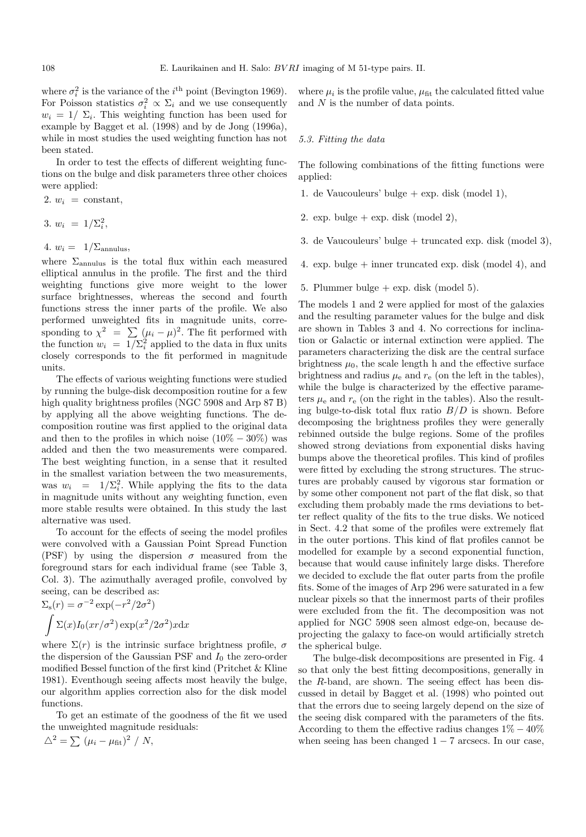where  $\sigma_i^2$  is the variance of the *i*<sup>th</sup> point (Bevington 1969). For Poisson statistics  $\sigma_i^2 \propto \Sigma_i$  and we use consequently  $w_i = 1/\sum_i$ . This weighting function has been used for example by Bagget et al. (1998) and by de Jong (1996a), while in most studies the used weighting function has not been stated.

In order to test the effects of different weighting functions on the bulge and disk parameters three other choices were applied:

2.  $w_i$  = constant,

$$
3. \; w_i \; = \; 1/\Sigma_i^2,
$$

4.  $w_i = 1/\Sigma_{\text{annulus}}$ 

where  $\Sigma_{\text{annulus}}$  is the total flux within each measured elliptical annulus in the profile. The first and the third weighting functions give more weight to the lower surface brightnesses, whereas the second and fourth functions stress the inner parts of the profile. We also performed unweighted fits in magnitude units, corresponding to  $\chi^2 = \sum_{i=0} (\mu_i - \mu)^2$ . The fit performed with the function  $w_i = 1/\Sigma_i^2$  applied to the data in flux units closely corresponds to the fit performed in magnitude units.

The effects of various weighting functions were studied by running the bulge-disk decomposition routine for a few high quality brightness profiles (NGC 5908 and Arp 87 B) by applying all the above weighting functions. The decomposition routine was first applied to the original data and then to the profiles in which noise  $(10\% - 30\%)$  was added and then the two measurements were compared. The best weighting function, in a sense that it resulted in the smallest variation between the two measurements, was  $w_i = 1/\sum_i^2$ . While applying the fits to the data in magnitude units without any weighting function, even more stable results were obtained. In this study the last alternative was used.

To account for the effects of seeing the model profiles were convolved with a Gaussian Point Spread Function (PSF) by using the dispersion  $\sigma$  measured from the foreground stars for each individual frame (see Table 3, Col. 3). The azimuthally averaged profile, convolved by seeing, can be described as:

$$
\sum_{s}(r) = \sigma^{-2} \exp(-r^2/2\sigma^2)
$$

$$
\int \Sigma(x) I_0(xr/\sigma^2) \exp(x^2/2\sigma^2) x dx
$$

where  $\Sigma(r)$  is the intrinsic surface brightness profile,  $\sigma$ the dispersion of the Gaussian PSF and  $I_0$  the zero-order modified Bessel function of the first kind (Pritchet & Kline 1981). Eventhough seeing affects most heavily the bulge, our algorithm applies correction also for the disk model functions.

To get an estimate of the goodness of the fit we used the unweighted magnitude residuals:

$$
\triangle^2 = \sum (\mu_i - \mu_{\text{fit}})^2 / N,
$$

where  $\mu_i$  is the profile value,  $\mu_{\text{fit}}$  the calculated fitted value and N is the number of data points.

#### 5.3. Fitting the data

The following combinations of the fitting functions were applied:

- 1. de Vaucouleurs' bulge + exp. disk (model 1),
- 2. exp. bulge  $+$  exp. disk (model 2),
- 3. de Vaucouleurs' bulge + truncated exp. disk (model 3),
- 4. exp. bulge  $+$  inner truncated exp. disk (model 4), and
- 5. Plummer bulge  $+$  exp. disk (model 5).

The models 1 and 2 were applied for most of the galaxies and the resulting parameter values for the bulge and disk are shown in Tables 3 and 4. No corrections for inclination or Galactic or internal extinction were applied. The parameters characterizing the disk are the central surface brightness  $\mu_0$ , the scale length h and the effective surface brightness and radius  $\mu_e$  and  $r_e$  (on the left in the tables), while the bulge is characterized by the effective parameters  $\mu_{\rm e}$  and  $r_{\rm e}$  (on the right in the tables). Also the resulting bulge-to-disk total flux ratio  $B/D$  is shown. Before decomposing the brightness profiles they were generally rebinned outside the bulge regions. Some of the profiles showed strong deviations from exponential disks having bumps above the theoretical profiles. This kind of profiles were fitted by excluding the strong structures. The structures are probably caused by vigorous star formation or by some other component not part of the flat disk, so that excluding them probably made the rms deviations to better reflect quality of the fits to the true disks. We noticed in Sect. 4.2 that some of the profiles were extremely flat in the outer portions. This kind of flat profiles cannot be modelled for example by a second exponential function, because that would cause infinitely large disks. Therefore we decided to exclude the flat outer parts from the profile fits. Some of the images of Arp 296 were saturated in a few nuclear pixels so that the innermost parts of their profiles were excluded from the fit. The decomposition was not applied for NGC 5908 seen almost edge-on, because deprojecting the galaxy to face-on would artificially stretch the spherical bulge.

The bulge-disk decompositions are presented in Fig. 4 so that only the best fitting decompositions, generally in the R-band, are shown. The seeing effect has been discussed in detail by Bagget et al. (1998) who pointed out that the errors due to seeing largely depend on the size of the seeing disk compared with the parameters of the fits. According to them the effective radius changes  $1\% - 40\%$ when seeing has been changed  $1 - 7$  arcsecs. In our case,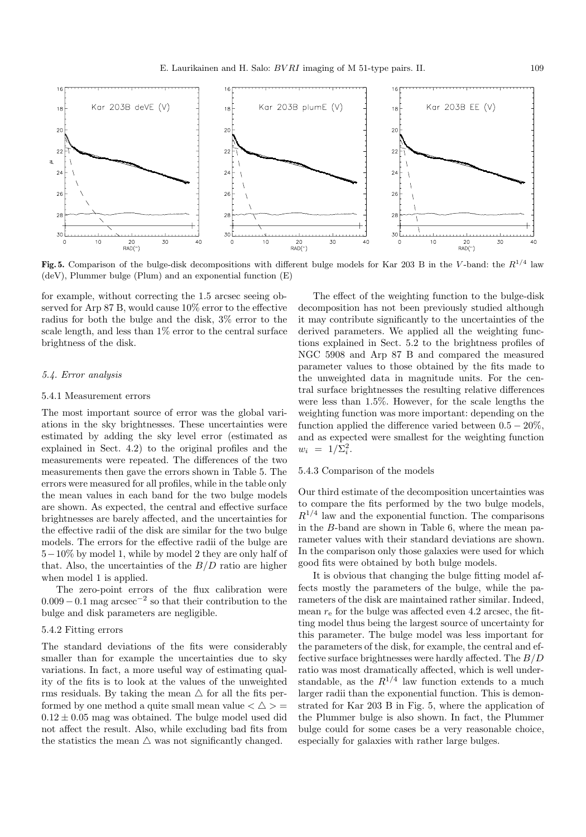

**Fig. 5.** Comparison of the bulge-disk decompositions with different bulge models for Kar 203 B in the V-band: the  $R^{1/4}$  law (deV), Plummer bulge (Plum) and an exponential function (E)

for example, without correcting the 1.5 arcsec seeing observed for Arp 87 B, would cause 10% error to the effective radius for both the bulge and the disk, 3% error to the scale length, and less than 1% error to the central surface brightness of the disk.

#### 5.4. Error analysis

#### 5.4.1 Measurement errors

The most important source of error was the global variations in the sky brightnesses. These uncertainties were estimated by adding the sky level error (estimated as explained in Sect. 4.2) to the original profiles and the measurements were repeated. The differences of the two measurements then gave the errors shown in Table 5. The errors were measured for all profiles, while in the table only the mean values in each band for the two bulge models are shown. As expected, the central and effective surface brightnesses are barely affected, and the uncertainties for the effective radii of the disk are similar for the two bulge models. The errors for the effective radii of the bulge are 5−10% by model 1, while by model 2 they are only half of that. Also, the uncertainties of the  $B/D$  ratio are higher when model 1 is applied.

The zero-point errors of the flux calibration were  $0.009 - 0.1$  mag arcsec<sup>-2</sup> so that their contribution to the bulge and disk parameters are negligible.

### 5.4.2 Fitting errors

The standard deviations of the fits were considerably smaller than for example the uncertainties due to sky variations. In fact, a more useful way of estimating quality of the fits is to look at the values of the unweighted rms residuals. By taking the mean  $\triangle$  for all the fits performed by one method a quite small mean value  $\langle \Delta \rangle$  =  $0.12 \pm 0.05$  mag was obtained. The bulge model used did not affect the result. Also, while excluding bad fits from the statistics the mean  $\triangle$  was not significantly changed.

The effect of the weighting function to the bulge-disk decomposition has not been previously studied although it may contribute significantly to the uncertainties of the derived parameters. We applied all the weighting functions explained in Sect. 5.2 to the brightness profiles of NGC 5908 and Arp 87 B and compared the measured parameter values to those obtained by the fits made to the unweighted data in magnitude units. For the central surface brightnesses the resulting relative differences were less than 1.5%. However, for the scale lengths the weighting function was more important: depending on the function applied the difference varied between  $0.5 - 20\%$ , and as expected were smallest for the weighting function  $w_i = 1/\Sigma_i^2$ .

#### 5.4.3 Comparison of the models

Our third estimate of the decomposition uncertainties was to compare the fits performed by the two bulge models,  $R^{1/4}$  law and the exponential function. The comparisons in the B-band are shown in Table 6, where the mean parameter values with their standard deviations are shown. In the comparison only those galaxies were used for which good fits were obtained by both bulge models.

It is obvious that changing the bulge fitting model affects mostly the parameters of the bulge, while the parameters of the disk are maintained rather similar. Indeed, mean  $r_{\rm e}$  for the bulge was affected even 4.2 arcsec, the fitting model thus being the largest source of uncertainty for this parameter. The bulge model was less important for the parameters of the disk, for example, the central and effective surface brightnesses were hardly affected. The  $B/D$ ratio was most dramatically affected, which is well understandable, as the  $R^{1/4}$  law function extends to a much larger radii than the exponential function. This is demonstrated for Kar 203 B in Fig. 5, where the application of the Plummer bulge is also shown. In fact, the Plummer bulge could for some cases be a very reasonable choice, especially for galaxies with rather large bulges.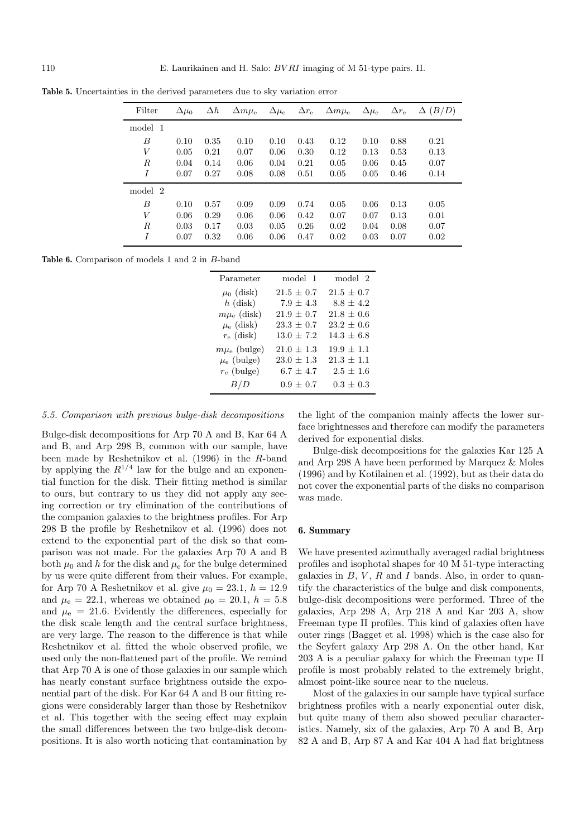| Filter  | $\Delta\mu_0$ | $\Delta h$ | $\Delta m\mu_{\rm e}$ | $\Delta\mu_{\rm e}$ | $\Delta r_{\rm e}$ | $\Delta m\mu_{\rm e}$ | $\Delta\mu_{\rm e}$ | $\Delta r_{\rm e}$ | (B/D)<br>Δ |
|---------|---------------|------------|-----------------------|---------------------|--------------------|-----------------------|---------------------|--------------------|------------|
| model 1 |               |            |                       |                     |                    |                       |                     |                    |            |
| B       | 0.10          | 0.35       | 0.10                  | 0.10                | 0.43               | 0.12                  | 0.10                | 0.88               | 0.21       |
| V       | 0.05          | 0.21       | 0.07                  | 0.06                | 0.30               | 0.12                  | 0.13                | 0.53               | 0.13       |
| R       | 0.04          | 0.14       | 0.06                  | 0.04                | 0.21               | 0.05                  | 0.06                | 0.45               | 0.07       |
| I       | 0.07          | 0.27       | 0.08                  | 0.08                | 0.51               | 0.05                  | 0.05                | 0.46               | 0.14       |
| model 2 |               |            |                       |                     |                    |                       |                     |                    |            |
| B       | 0.10          | 0.57       | 0.09                  | 0.09                | 0.74               | 0.05                  | 0.06                | 0.13               | 0.05       |
| V       | 0.06          | 0.29       | 0.06                  | 0.06                | 0.42               | 0.07                  | 0.07                | 0.13               | 0.01       |
| R       | 0.03          | 0.17       | 0.03                  | 0.05                | 0.26               | 0.02                  | 0.04                | 0.08               | 0.07       |
| I       | 0.07          | 0.32       | 0.06                  | 0.06                | 0.47               | 0.02                  | 0.03                | 0.07               | 0.02       |

**Table 5.** Uncertainties in the derived parameters due to sky variation error

**Table 6.** Comparison of models 1 and 2 in B-band

| Parameter              | model 1        | model 2        |
|------------------------|----------------|----------------|
| $\mu_0$ (disk)         | $21.5 \pm 0.7$ | $21.5 \pm 0.7$ |
| $h$ (disk)             | $7.9 \pm 4.3$  | $8.8 \pm 4.2$  |
| $m\mu_{\rm e}$ (disk)  | $21.9 \pm 0.7$ | $21.8 \pm 0.6$ |
| $\mu_{\rm e}$ (disk)   | $23.3 \pm 0.7$ | $23.2 \pm 0.6$ |
| $r_{\rm e}$ (disk)     | $13.0 \pm 7.2$ | $14.3 \pm 6.8$ |
| $m\mu_{\rm e}$ (bulge) | $21.0 \pm 1.3$ | $19.9 \pm 1.1$ |
| $\mu_{\rm e}$ (bulge)  | $23.0 \pm 1.3$ | $21.3 \pm 1.1$ |
| $r_{e}$ (bulge)        | $6.7 \pm 4.7$  | $2.5 \pm 1.6$  |
| B/D                    | $0.9 \pm 0.7$  | $0.3 \pm 0.3$  |

## 5.5. Comparison with previous bulge-disk decompositions

Bulge-disk decompositions for Arp 70 A and B, Kar 64 A and B, and Arp 298 B, common with our sample, have been made by Reshetnikov et al. (1996) in the R-band by applying the  $R^{1/4}$  law for the bulge and an exponential function for the disk. Their fitting method is similar to ours, but contrary to us they did not apply any seeing correction or try elimination of the contributions of the companion galaxies to the brightness profiles. For Arp 298 B the profile by Reshetnikov et al. (1996) does not extend to the exponential part of the disk so that comparison was not made. For the galaxies Arp 70 A and B both  $\mu_0$  and h for the disk and  $\mu_e$  for the bulge determined by us were quite different from their values. For example, for Arp 70 A Reshetnikov et al. give  $\mu_0 = 23.1, h = 12.9$ and  $\mu_e = 22.1$ , whereas we obtained  $\mu_0 = 20.1$ ,  $h = 5.8$ and  $\mu_{\rm e}$  = 21.6. Evidently the differences, especially for the disk scale length and the central surface brightness, are very large. The reason to the difference is that while Reshetnikov et al. fitted the whole observed profile, we used only the non-flattened part of the profile. We remind that Arp 70 A is one of those galaxies in our sample which has nearly constant surface brightness outside the exponential part of the disk. For Kar 64 A and B our fitting regions were considerably larger than those by Reshetnikov et al. This together with the seeing effect may explain the small differences between the two bulge-disk decompositions. It is also worth noticing that contamination by

the light of the companion mainly affects the lower surface brightnesses and therefore can modify the parameters derived for exponential disks.

Bulge-disk decompositions for the galaxies Kar 125 A and Arp 298 A have been performed by Marquez & Moles (1996) and by Kotilainen et al. (1992), but as their data do not cover the exponential parts of the disks no comparison was made.

### **6. Summary**

We have presented azimuthally averaged radial brightness profiles and isophotal shapes for 40 M 51-type interacting galaxies in  $B, V, R$  and I bands. Also, in order to quantify the characteristics of the bulge and disk components, bulge-disk decompositions were performed. Three of the galaxies, Arp 298 A, Arp 218 A and Kar 203 A, show Freeman type II profiles. This kind of galaxies often have outer rings (Bagget et al. 1998) which is the case also for the Seyfert galaxy Arp 298 A. On the other hand, Kar 203 A is a peculiar galaxy for which the Freeman type II profile is most probably related to the extremely bright, almost point-like source near to the nucleus.

Most of the galaxies in our sample have typical surface brightness profiles with a nearly exponential outer disk, but quite many of them also showed peculiar characteristics. Namely, six of the galaxies, Arp 70 A and B, Arp 82 A and B, Arp 87 A and Kar 404 A had flat brightness